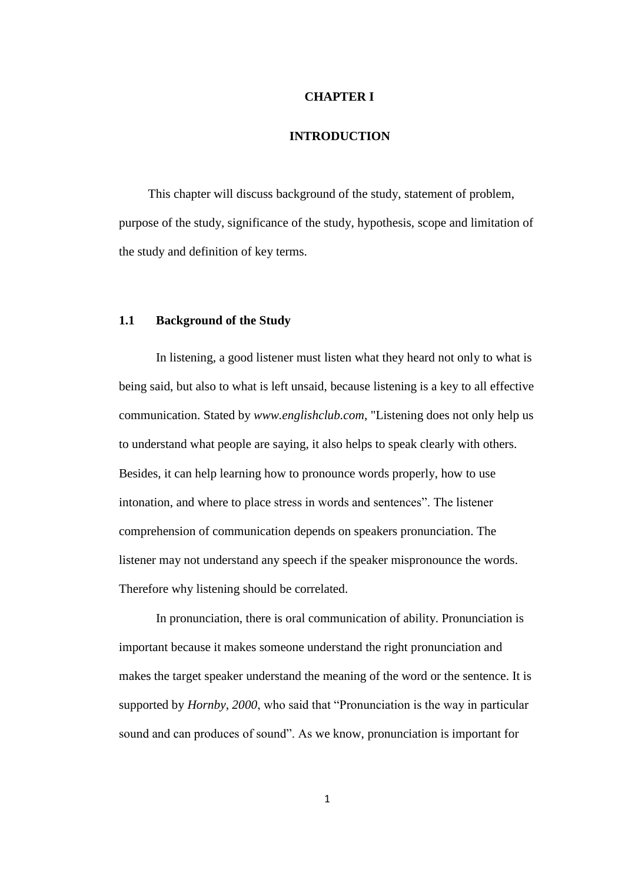### **CHAPTER I**

### **INTRODUCTION**

This chapter will discuss background of the study, statement of problem, purpose of the study, significance of the study, hypothesis, scope and limitation of the study and definition of key terms.

#### **1.1 Background of the Study**

In listening, a good listener must listen what they heard not only to what is being said, but also to what is left unsaid, because listening is a key to all effective communication. Stated by *www.englishclub.com*, "Listening does not only help us to understand what people are saying, it also helps to speak clearly with others. Besides, it can help learning how to pronounce words properly, how to use intonation, and where to place stress in words and sentences". The listener comprehension of communication depends on speakers pronunciation. The listener may not understand any speech if the speaker mispronounce the words. Therefore why listening should be correlated.

In pronunciation, there is oral communication of ability. Pronunciation is important because it makes someone understand the right pronunciation and makes the target speaker understand the meaning of the word or the sentence. It is supported by *Hornby, 2000*, who said that "Pronunciation is the way in particular sound and can produces of sound". As we know, pronunciation is important for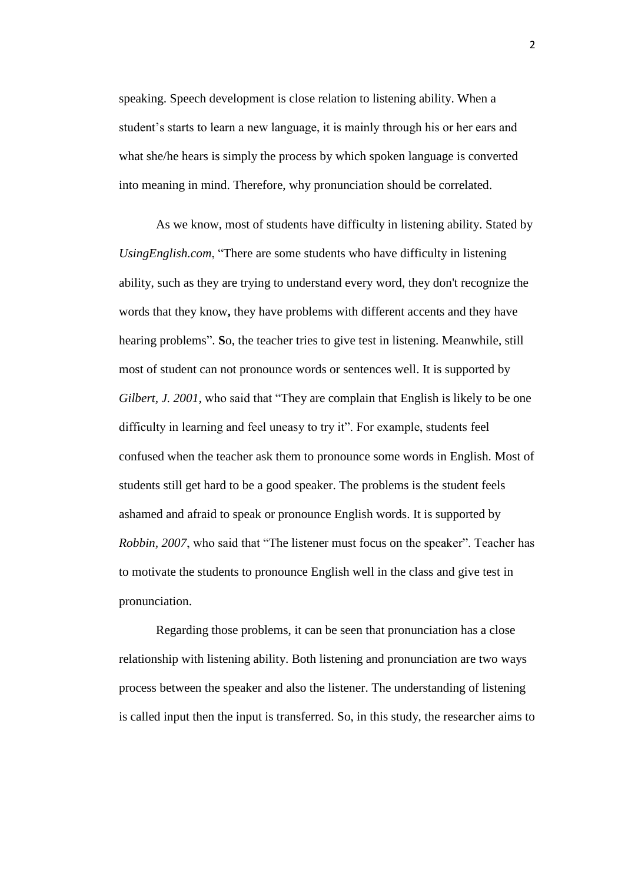speaking. Speech development is close relation to listening ability. When a student's starts to learn a new language, it is mainly through his or her ears and what she/he hears is simply the process by which spoken language is converted into meaning in mind. Therefore, why pronunciation should be correlated.

As we know, most of students have difficulty in listening ability. Stated by *UsingEnglish.com*, "There are some students who have difficulty in listening ability, such as they are trying to understand every word, they don't recognize the words that they know**,** they have problems with different accents and they have hearing problems". **S**o, the teacher tries to give test in listening. Meanwhile, still most of student can not pronounce words or sentences well. It is supported by *Gilbert, J. 2001*, who said that "They are complain that English is likely to be one difficulty in learning and feel uneasy to try it". For example, students feel confused when the teacher ask them to pronounce some words in English. Most of students still get hard to be a good speaker. The problems is the student feels ashamed and afraid to speak or pronounce English words. It is supported by *Robbin, 2007*, who said that "The listener must focus on the speaker". Teacher has to motivate the students to pronounce English well in the class and give test in pronunciation.

Regarding those problems, it can be seen that pronunciation has a close relationship with listening ability. Both listening and pronunciation are two ways process between the speaker and also the listener. The understanding of listening is called input then the input is transferred. So, in this study, the researcher aims to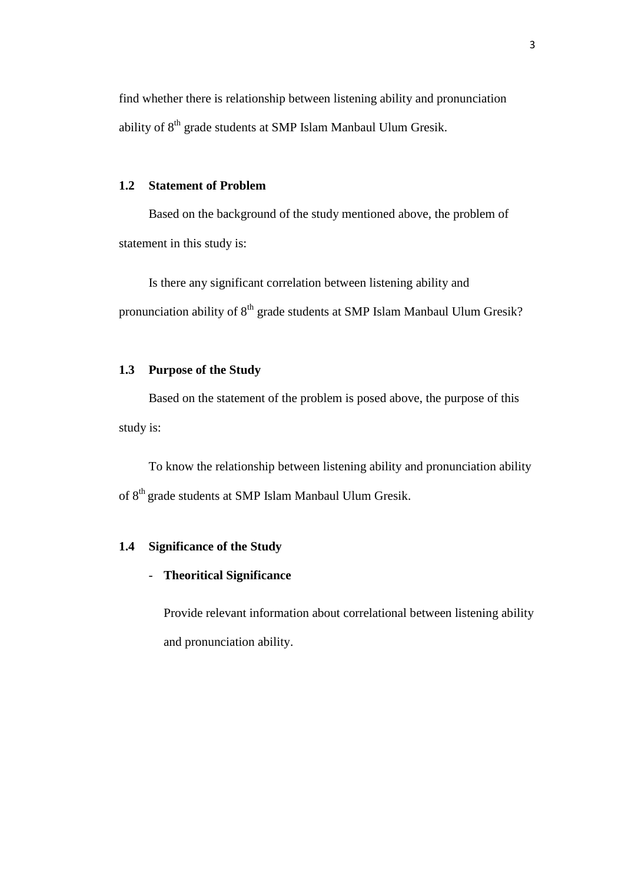find whether there is relationship between listening ability and pronunciation ability of 8<sup>th</sup> grade students at SMP Islam Manbaul Ulum Gresik.

### **1.2 Statement of Problem**

Based on the background of the study mentioned above, the problem of statement in this study is:

Is there any significant correlation between listening ability and pronunciation ability of  $8<sup>th</sup>$  grade students at SMP Islam Manbaul Ulum Gresik?

## **1.3 Purpose of the Study**

Based on the statement of the problem is posed above, the purpose of this study is:

To know the relationship between listening ability and pronunciation ability of 8th grade students at SMP Islam Manbaul Ulum Gresik.

# **1.4 Significance of the Study**

## - **Theoritical Significance**

Provide relevant information about correlational between listening ability and pronunciation ability.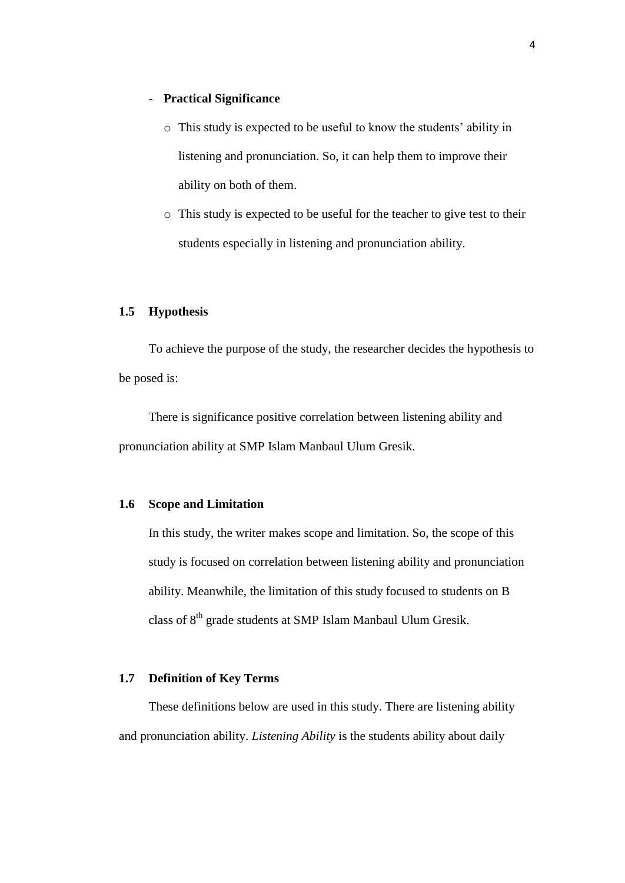### - **Practical Significance**

- o This study is expected to be useful to know the students' ability in listening and pronunciation. So, it can help them to improve their ability on both of them.
- o This study is expected to be useful for the teacher to give test to their students especially in listening and pronunciation ability.

### **1.5 Hypothesis**

To achieve the purpose of the study, the researcher decides the hypothesis to be posed is:

There is significance positive correlation between listening ability and pronunciation ability at SMP Islam Manbaul Ulum Gresik.

### **1.6 Scope and Limitation**

In this study, the writer makes scope and limitation. So, the scope of this study is focused on correlation between listening ability and pronunciation ability. Meanwhile, the limitation of this study focused to students on B class of 8<sup>th</sup> grade students at SMP Islam Manbaul Ulum Gresik.

## **1.7 Definition of Key Terms**

These definitions below are used in this study. There are listening ability and pronunciation ability. *Listening Ability* is the students ability about daily